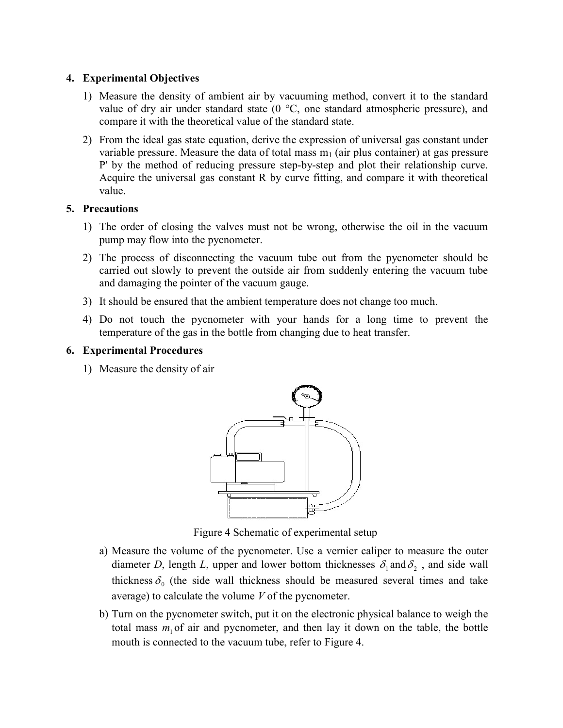## 4. Experimental Objectives

- 1) Measure the density of ambient air by vacuuming method, convert it to the standard value of dry air under standard state  $(0 \degree C, 0 \degree C)$ , one standard atmospheric pressure), and compare it with the theoretical value of the standard state.
- 2) From the ideal gas state equation, derive the expression of universal gas constant under variable pressure. Measure the data of total mass  $m_1$  (air plus container) at gas pressure P' by the method of reducing pressure step-by-step and plot their relationship curve. Acquire the universal gas constant R by curve fitting, and compare it with theoretical value.

## 5. Precautions

- 1) The order of closing the valves must not be wrong, otherwise the oil in the vacuum pump may flow into the pycnometer.
- 2) The process of disconnecting the vacuum tube out from the pycnometer should be carried out slowly to prevent the outside air from suddenly entering the vacuum tube and damaging the pointer of the vacuum gauge.
- 3) It should be ensured that the ambient temperature does not change too much.
- 4) Do not touch the pycnometer with your hands for a long time to prevent the temperature of the gas in the bottle from changing due to heat transfer.

## 6. Experimental Procedures

1) Measure the density of air



Figure 4 Schematic of experimental setup

- a) Measure the volume of the pycnometer. Use a vernier caliper to measure the outer diameter D, length L, upper and lower bottom thicknesses  $\delta_1$  and  $\delta_2$ , and side wall thickness  $\delta_0$  (the side wall thickness should be measured several times and take average) to calculate the volume  $V$  of the pycnometer.
- b) Turn on the pycnometer switch, put it on the electronic physical balance to weigh the total mass  $m_1$  of air and pycnometer, and then lay it down on the table, the bottle mouth is connected to the vacuum tube, refer to Figure 4.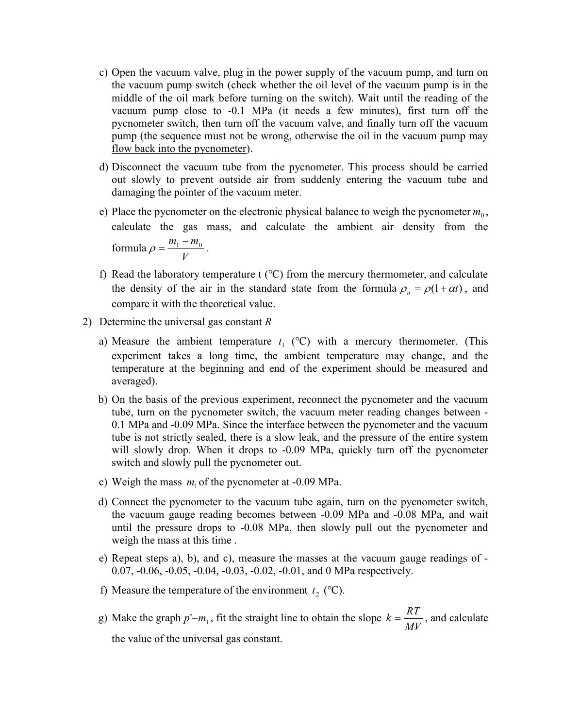- c) Open the vacuum valve, plug in the power supply of the vacuum pump, and turn on the vacuum pump switch (check whether the oil level of the vacuum pump is in the middle of the oil mark before turning on the switch). Wait until the reading of the vacuum pump close to -0.1 MPa (it needs a few minutes), first turn off the pycnometer switch, then turn off the vacuum valve, and finally turn off the vacuum pump (the sequence must not be wrong, otherwise the oil in the vacuum pump may flow back into the pycnometer).
- d) Disconnect the vacuum tube from the pycnometer. This process should be carried out slowly to prevent outside air from suddenly entering the vacuum tube and damaging the pointer of the vacuum meter.
- e) Place the pycnometer on the electronic physical balance to weigh the pycnometer  $m_0$ , calculate the gas mass, and calculate the ambient air density from the formula V  $\rho = \frac{m_1 - m_0}{r}$ .
- f) Read the laboratory temperature t (℃) from the mercury thermometer, and calculate the density of the air in the standard state from the formula  $\rho_n = \rho(1 + \alpha t)$ , and compare it with the theoretical value.
- 2) Determine the universal gas constant R
	- a) Measure the ambient temperature  $t_1$  (°C) with a mercury thermometer. (This experiment takes a long time, the ambient temperature may change, and the temperature at the beginning and end of the experiment should be measured and averaged).
	- b) On the basis of the previous experiment, reconnect the pycnometer and the vacuum tube, turn on the pycnometer switch, the vacuum meter reading changes between - 0.1 MPa and -0.09 MPa. Since the interface between the pycnometer and the vacuum tube is not strictly sealed, there is a slow leak, and the pressure of the entire system will slowly drop. When it drops to -0.09 MPa, quickly turn off the pycnometer switch and slowly pull the pycnometer out.
	- c) Weigh the mass  $m_1$  of the pycnometer at -0.09 MPa.
	- d) Connect the pycnometer to the vacuum tube again, turn on the pycnometer switch, the vacuum gauge reading becomes between -0.09 MPa and -0.08 MPa, and wait until the pressure drops to -0.08 MPa, then slowly pull out the pycnometer and weigh the mass at this time .
	- e) Repeat steps a), b), and c), measure the masses at the vacuum gauge readings of 0.07, -0.06, -0.05, -0.04, -0.03, -0.02, -0.01, and 0 MPa respectively.
	- f) Measure the temperature of the environment  $t_2$  (°C).
	- g) Make the graph  $p'-m_1$ , fit the straight line to obtain the slope  $k = \frac{RT}{MV}$ , and calculate

the value of the universal gas constant.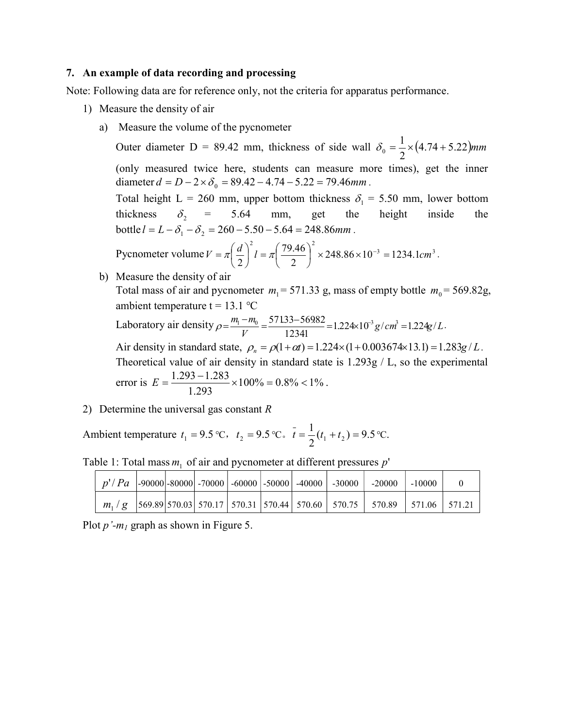## 7. An example of data recording and processing

Note: Following data are for reference only, not the criteria for apparatus performance.

- 1) Measure the density of air
	- a) Measure the volume of the pycnometer

mple of data recording and processing<br>wing data are for reference only, not the criteria for apparatus performance.<br>sure the density of air<br>Measure the volume of the pycnometer<br>Outer diameter  $D = 89.42$  mm, thickness of s 2  $\delta_0 = \frac{1}{2} \times (4.74 +$ (only measured twice here, students can measure more times), get the inner diameter  $d = D - 2 \times \delta_0 = 89.42 - 4.74 - 5.22 = 79.46$ mm.

Total height L = 260 mm, upper bottom thickness  $\delta_1$  = 5.50 mm, lower bottom thickness  $\delta_2$  = 5.64 mm, get the height inside the bottle  $l = L - \delta_1 - \delta_2 = 260 - 5.50 - 5.64 = 248.86$ mm.

$$
\text{Pyconometer volume } V = \pi \bigg( \frac{d}{2} \bigg)^2 l = \pi \bigg( \frac{79.46}{2} \bigg)^2 \times 248.86 \times 10^{-3} = 1234.1 \text{cm}^3 \,.
$$

b) Measure the density of air

Total mass of air and pycnometer  $m_1$  = 571.33 g, mass of empty bottle  $m_0$  = 569.82g, ambient temperature t = 13.1  $^{\circ}$ C

Laboratory air density  $\rho = \frac{m_1 - m_0}{r} = \frac{37133 - 30302}{4} = 1.224 \times 10^3 g/cm^3 = 1.224 g/L$ V  $\frac{m_1 - m_0}{m_1 - m_0} = \frac{57133 - 56982}{244.224 \times 10^{-3} g/cm^3} = 1.224 g/$ 12341  $\rho = \frac{m_1 - m_0}{V} = \frac{57133 - 56982}{1234} = 1.224 \times 10^3 g/cm^3 = 1.224g/L.$ 

Air density in standard state,  $\rho_n = \rho(1+\alpha t) = 1.224 \times (1+0.003674 \times 13.1) = 1.283g / L$ . Theoretical value of air density in standard state is  $1.293g / L$ , so the experimental error is  $E = \frac{1.293 \times 1.269}{1.283 \times 100\%} = 0.8\% < 1\%$ 1.293  $E = \frac{1.293 - 1.283}{1.293 \times 100\%} = 0.8\% < 1\%$ .

2) Determine the universal gas constant R

Ambient temperature  $t_1 = 9.5$  °C,  $t_2 = 9.5$  °C.  $t = \frac{1}{2}(t_1 + t_2) = 9.5$  $\overline{t} = \frac{1}{2} (t_1 + t_2) = 9.5 \,^{\circ}\text{C}.$ 

|  |  |  |  | $p'/Pa$ -90000-80000 -70000 -60000 -50000 -40000 -30000 -20000 -20000 -10000  |  |
|--|--|--|--|-------------------------------------------------------------------------------|--|
|  |  |  |  | $m_1/g$ 569.89 570.03 570.17 570.31 570.44 570.60 570.75 570.89 571.06 571.21 |  |

Table 1: Total mass  $m_1$  of air and pycnometer at different pressures  $p'$ 

Plot  $p'$ - $m_l$  graph as shown in Figure 5.